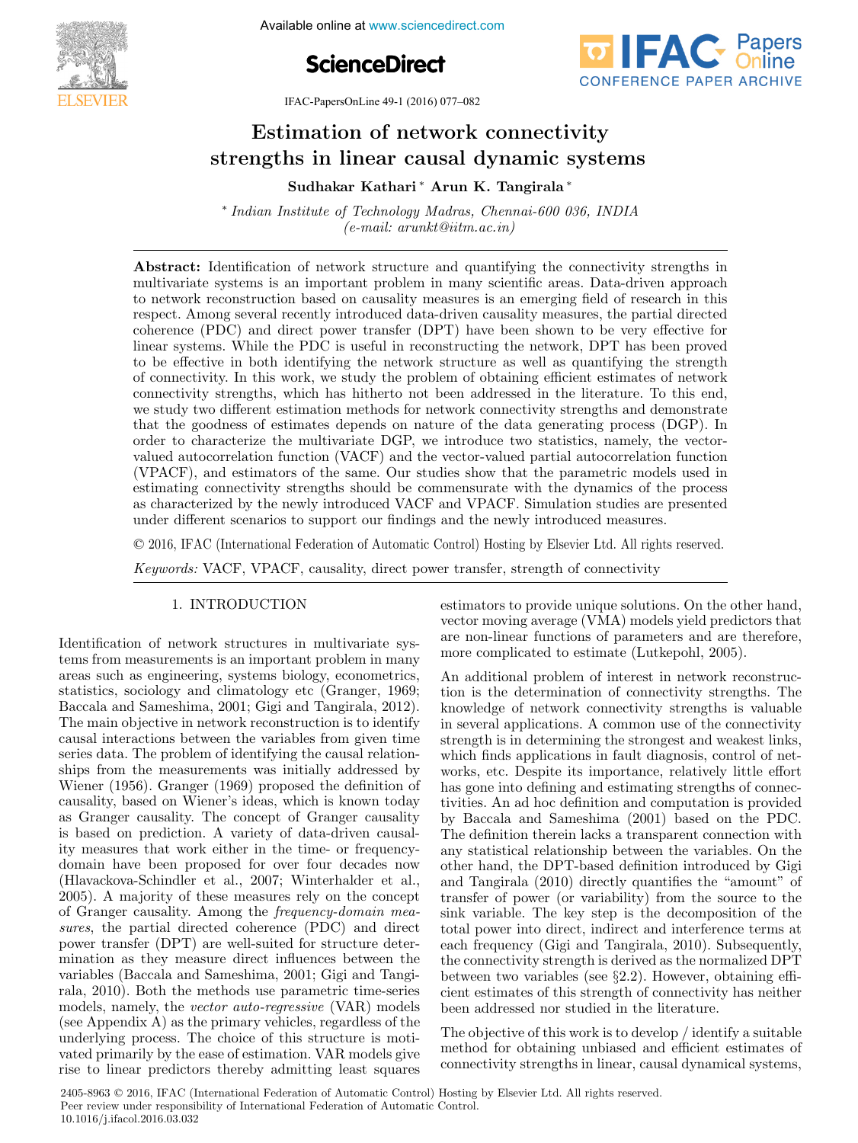

**4th International Available online at www.sciencedirect.com** 





IFAC-PapersOnLine 49-1 (2016) 077–082

#### Estimation of network connectivity strengths in linear causal dynamic systems strengths in linear causal dynamic systems strengths in linear causal dynamic systems  $E(t)$  is a network connectivity connectivity. ESUINATION OF REUNOTK CONNECTIVITY Estimation of network connectivity Estimation of network connectivity

Sudhakar Kathari ∆Arun K. Tangirala ∗ Sudhakar Kathari ∗ Arun K. Tangirala ∗ Sudhakar Kathari ∗ Arun K. Tangirala ∗ Sudhakar Kathari ∗ Arun K. Tangirala ∗

 $(e$ -mail: arunkt@iitm.ac.in) ∗ Indian Institute of Technology Madras, Chennai-600 036, INDIA ∗ Indian Institute of Technology Madras, Chennai-600 036, INDIA (e-mail: arunktika)

multivariate systems is an important problem in many scientific areas. Data-driven approach to network reconstruction based on causality measures is an emerging field of research in this respect. Among several recently introduced data-driven causality measures, the partial directed coherence (PDC) and direct power transfer (DPT) have been shown to be very effective for linear systems. While the PDC is useful in reconstructing the network, DPT has been proved to be effective in both identifying the network structure as well as quantifying the strength of connectivity. In this work, we study the problem of obtaining efficient estimates of network connectivity strengths, which has hitherto not been addressed in the literature. To this end, we study two different estimation methods for network connectivity strengths and demonstrate that the goodness of estimates depends on nature of the data generating process (DGP). In order to characterize the multivariate DGP, we introduce two statistics, namely, the vectorvalued autocorrelation function (VACF) and the vector-valued partial autocorrelation function (VPACF), and estimators of the same. Our studies show that the parametric models used in estimating connectivity strengths should be commensurate with the dynamics of the process as characterized by the newly introduced VACF and VPACF. Simulation studies are presented under different scenarios to support our findings and the newly introduced measures. Abstract: Identification of network structure and quantifying the connectivity strengths in under different scenarios to support our findings and the newly introduced measures.

© 2016, IFAC (International Federation of Automatic Control) Hosting by Elsevier Ltd. All rights reserved. Keywords: VACF, VPACF, causality, direct power transfer, strength of connectivity Keywords: VACF, VPACF, causality, direct power transfer, strength of connectivity

# 1. INTRODUCTION 1. INTRODUCTION 1. INTRODUCTION 1. INTRODUCTION

Identification of network structures in multivariate systems from measurements is an important problem in many tems from measurements is an important problem in many areas such as engineering, systems biology, econometrics, statistics, sociology and climatology etc (Granger, 1969; Baccala and Sameshima, 2001; Gigi and Tangirala, 2012). The main objective in network reconstruction is to identify causal interactions between the variables from given time series data. The problem of identifying the causal relationships from the measurements was initially addressed by Wiener (1956). Granger (1969) proposed the definition of causality, based on Wiener's ideas, which is known today as Granger causality. The concept of Granger causality is based on prediction. A variety of data-driven causality measures that work either in the time- or frequencydomain have been proposed for over four decades now (Hlavackova-Schindler et al., 2007; Winterhalder et al.,  $2005$ ). A majority of these measures rely on the concept of Granger causality. Among the frequency-domain measures, the partial directed coherence (PDC) and directedpower transfer (DPT) are well-suited for structure determination as they measure direct influences between the variables (Baccala and Sameshima, 2001; Gigi and Tangirala, 2010). Both the methods use parametric time-series models, namely, the *vector auto-regressive* (VAR) models (see Appendix A) as the primary vehicles, regardless of the underlying process. The choice of this structure is motivated primarily by the ease of estimation. VAR models give rise to linear predictors thereby admitting least squares rise to linear predictors thereby admitting least squares rise to linear predictors thereby admitting least squares Identification of network structures in multivariate sys-Identification of network structures in multivariate sysestimators to provide unique solutions. On the other hand, vector moving average (VMA) models yield predictors that are non-linear functions of parameters and are therefore, more complicated to estimate (Lutkepohl, 2005). more complicated to estimate (Lutkepohl, 2005). more complicated to estimate (Lutkepohl, 2005). estimators to provide unique solutions. On the other hand, estimators to provide unique solutions. On the other hand,  $\mathbf{A}$  and  $\mathbf{A}$  additional problem of interest in  $\mathbf{A}$ 

An additional problem of interest in network reconstruction is the determination of connectivity strengths. The knowledge of network connectivity strengths is valuable in several applications. A common use of the connectivity strength is in determining the strongest and weakest links, which finds applications in fault diagnosis, control of networks, etc. Despite its importance, relatively little effort has gone into defining and estimating strengths of connectivities. An ad hoc definition and computation is provided by Baccala and Sameshima (2001) based on the PDC. The definition therein lacks a transparent connection with any statistical relationship between the variables. On the other hand, the DPT-based definition introduced by Gigi and Tangirala (2010) directly quantifies the "amount" of transfer of power (or variability) from the source to the sink variable. The key step is the decomposition of the total power into direct, indirect and interference terms at each frequency (Gigi and Tangirala, 2010). Subsequently, the connectivity strength is derived as the normalized DPT between two variables (see  $\S 2.2$ ). However, obtaining effi-<br>giori estimates of this strength of connectivity has nother cient estimates of this strength of connectivity has neither been addressed nor studied in the literature. been addressed nor studied in the literature. been addressed nor studied in the literature. An additional problem of interest in network reconstruc-

The objective of this work is to develop  $/$  identify a suitable method for obtaining unbiased and efficient estimates of connectivity strengths in linear, causal dynamical systems, connectivity strengths in linear, causal dynamical systems, connectivity strengths in linear, causal dynamical systems, The objective of this work is to develop / identify a suitable

2405-8963 © 2016, IFAC (International Federation of Automatic Control) Hosting by Elsevier Ltd. All rights reserved. Peer review under responsibility of International Federation of Automatic Control. 10.1016/j.ifacol.2016.03.032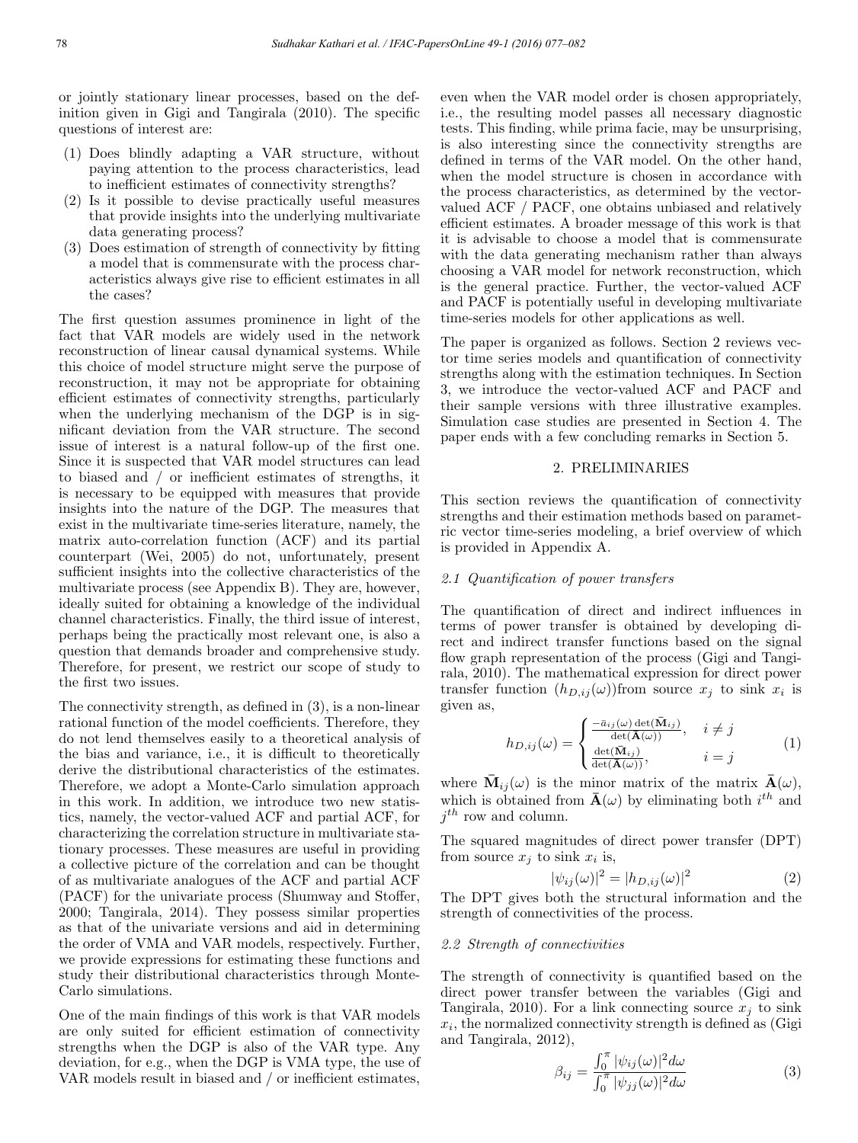or jointly stationary linear processes, based on the definition given in Gigi and Tangirala (2010). The specific questions of interest are:

- (1) Does blindly adapting a VAR structure, without paying attention to the process characteristics, lead to inefficient estimates of connectivity strengths?
- (2) Is it possible to devise practically useful measures that provide insights into the underlying multivariate data generating process?
- (3) Does estimation of strength of connectivity by fitting a model that is commensurate with the process characteristics always give rise to efficient estimates in all the cases?

The first question assumes prominence in light of the fact that VAR models are widely used in the network reconstruction of linear causal dynamical systems. While this choice of model structure might serve the purpose of reconstruction, it may not be appropriate for obtaining efficient estimates of connectivity strengths, particularly when the underlying mechanism of the DGP is in significant deviation from the VAR structure. The second issue of interest is a natural follow-up of the first one. Since it is suspected that VAR model structures can lead to biased and / or inefficient estimates of strengths, it is necessary to be equipped with measures that provide insights into the nature of the DGP. The measures that exist in the multivariate time-series literature, namely, the matrix auto-correlation function (ACF) and its partial counterpart (Wei, 2005) do not, unfortunately, present sufficient insights into the collective characteristics of the multivariate process (see Appendix B). They are, however, ideally suited for obtaining a knowledge of the individual channel characteristics. Finally, the third issue of interest, perhaps being the practically most relevant one, is also a question that demands broader and comprehensive study. Therefore, for present, we restrict our scope of study to the first two issues.

The connectivity strength, as defined in (3), is a non-linear rational function of the model coefficients. Therefore, they do not lend themselves easily to a theoretical analysis of the bias and variance, i.e., it is difficult to theoretically derive the distributional characteristics of the estimates. Therefore, we adopt a Monte-Carlo simulation approach in this work. In addition, we introduce two new statistics, namely, the vector-valued ACF and partial ACF, for characterizing the correlation structure in multivariate stationary processes. These measures are useful in providing a collective picture of the correlation and can be thought of as multivariate analogues of the ACF and partial ACF (PACF) for the univariate process (Shumway and Stoffer, 2000; Tangirala, 2014). They possess similar properties as that of the univariate versions and aid in determining the order of VMA and VAR models, respectively. Further, we provide expressions for estimating these functions and study their distributional characteristics through Monte-Carlo simulations.

One of the main findings of this work is that VAR models are only suited for efficient estimation of connectivity strengths when the DGP is also of the VAR type. Any deviation, for e.g., when the DGP is VMA type, the use of VAR models result in biased and / or inefficient estimates,

even when the VAR model order is chosen appropriately, i.e., the resulting model passes all necessary diagnostic tests. This finding, while prima facie, may be unsurprising, is also interesting since the connectivity strengths are defined in terms of the VAR model. On the other hand, when the model structure is chosen in accordance with the process characteristics, as determined by the vectorvalued ACF / PACF, one obtains unbiased and relatively efficient estimates. A broader message of this work is that it is advisable to choose a model that is commensurate with the data generating mechanism rather than always choosing a VAR model for network reconstruction, which is the general practice. Further, the vector-valued ACF and PACF is potentially useful in developing multivariate time-series models for other applications as well.

The paper is organized as follows. Section 2 reviews vector time series models and quantification of connectivity strengths along with the estimation techniques. In Section 3, we introduce the vector-valued ACF and PACF and their sample versions with three illustrative examples. Simulation case studies are presented in Section 4. The paper ends with a few concluding remarks in Section 5.

## 2. PRELIMINARIES

This section reviews the quantification of connectivity strengths and their estimation methods based on parametric vector time-series modeling, a brief overview of which is provided in Appendix A.

#### 2.1 Quantification of power transfers

The quantification of direct and indirect influences in terms of power transfer is obtained by developing direct and indirect transfer functions based on the signal flow graph representation of the process (Gigi and Tangirala, 2010). The mathematical expression for direct power transfer function  $(h_{D,ij}(\omega))$ from source  $x_j$  to sink  $x_i$  is given as,

$$
h_{D,ij}(\omega) = \begin{cases} \frac{-\bar{a}_{ij}(\omega) \det(\bar{\mathbf{M}}_{ij})}{\det(\bar{\mathbf{A}}(\omega))}, & i \neq j \\ \frac{\det(\bar{\mathbf{M}}_{ij})}{\det(\bar{\mathbf{A}}(\omega))}, & i = j \end{cases}
$$
(1)

where  $\bar{M}_{ij}(\omega)$  is the minor matrix of the matrix  $\bar{A}(\omega)$ , which is obtained from  $\bar{\mathbf{A}}(\omega)$  by eliminating both  $i^{th}$  and  $i^{th}$  row and column.

The squared magnitudes of direct power transfer (DPT) from source  $x_j$  to sink  $x_i$  is,

$$
|\psi_{ij}(\omega)|^2 = |h_{D,ij}(\omega)|^2 \tag{2}
$$

The DPT gives both the structural information and the strength of connectivities of the process.

### 2.2 Strength of connectivities

The strength of connectivity is quantified based on the direct power transfer between the variables (Gigi and Tangirala, 2010). For a link connecting source  $x_i$  to sink  $x_i$ , the normalized connectivity strength is defined as (Gigi and Tangirala, 2012),

$$
\beta_{ij} = \frac{\int_0^{\pi} |\psi_{ij}(\omega)|^2 d\omega}{\int_0^{\pi} |\psi_{jj}(\omega)|^2 d\omega}
$$
\n(3)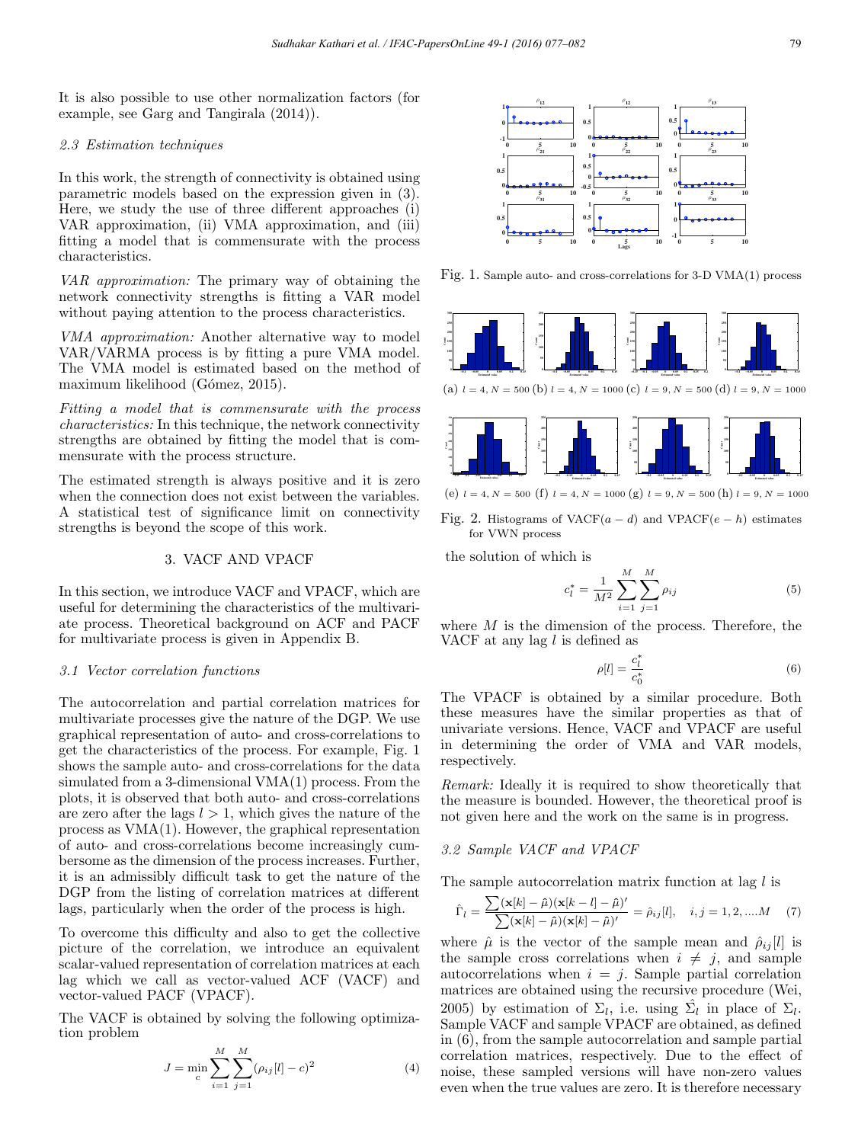It is also possible to use other normalization factors (for example, see Garg and Tangirala (2014)).

## 2.3 Estimation techniques

In this work, the strength of connectivity is obtained using parametric models based on the expression given in (3). Here, we study the use of three different approaches (i) VAR approximation, (ii) VMA approximation, and (iii) fitting a model that is commensurate with the process characteristics.

VAR approximation: The primary way of obtaining the network connectivity strengths is fitting a VAR model without paying attention to the process characteristics.

VMA approximation: Another alternative way to model VAR/VARMA process is by fitting a pure VMA model. The VMA model is estimated based on the method of maximum likelihood (Gómez, 2015).

Fitting a model that is commensurate with the process characteristics: In this technique, the network connectivity strengths are obtained by fitting the model that is commensurate with the process structure.

The estimated strength is always positive and it is zero when the connection does not exist between the variables. A statistical test of significance limit on connectivity strengths is beyond the scope of this work.

# 3. VACF AND VPACF

In this section, we introduce VACF and VPACF, which are useful for determining the characteristics of the multivariate process. Theoretical background on ACF and PACF for multivariate process is given in Appendix B.

### 3.1 Vector correlation functions

The autocorrelation and partial correlation matrices for multivariate processes give the nature of the DGP. We use graphical representation of auto- and cross-correlations to get the characteristics of the process. For example, Fig. 1 shows the sample auto- and cross-correlations for the data simulated from a 3-dimensional VMA(1) process. From the plots, it is observed that both auto- and cross-correlations are zero after the lags  $l > 1$ , which gives the nature of the process as VMA(1). However, the graphical representation of auto- and cross-correlations become increasingly cumbersome as the dimension of the process increases. Further, it is an admissibly difficult task to get the nature of the DGP from the listing of correlation matrices at different lags, particularly when the order of the process is high.

To overcome this difficulty and also to get the collective picture of the correlation, we introduce an equivalent scalar-valued representation of correlation matrices at each lag which we call as vector-valued ACF (VACF) and vector-valued PACF (VPACF).

The VACF is obtained by solving the following optimization problem

$$
J = \min_{c} \sum_{i=1}^{M} \sum_{j=1}^{M} (\rho_{ij}[l] - c)^2
$$
 (4)



Fig. 1. Sample auto- and cross-correlations for 3-D VMA(1) process





(e)  $l = 4, N = 500$  (f)  $l = 4, N = 1000$  (g)  $l = 9, N = 500$  (h)  $l = 9, N = 1000$ 

Fig. 2. Histograms of VACF( $a - d$ ) and VPACF( $e - h$ ) estimates for VWN process

the solution of which is

$$
c_l^* = \frac{1}{M^2} \sum_{i=1}^{M} \sum_{j=1}^{M} \rho_{ij}
$$
 (5)

where  $M$  is the dimension of the process. Therefore, the VACF at any lag  $l$  is defined as

$$
\rho[l] = \frac{c_l^*}{c_0^*} \tag{6}
$$

The VPACF is obtained by a similar procedure. Both these measures have the similar properties as that of univariate versions. Hence, VACF and VPACF are useful in determining the order of VMA and VAR models, respectively.

Remark: Ideally it is required to show theoretically that the measure is bounded. However, the theoretical proof is not given here and the work on the same is in progress.

# 3.2 Sample VACF and VPACF

The sample autocorrelation matrix function at lag  $l$  is

$$
\hat{\Gamma}_l = \frac{\sum (\mathbf{x}[k] - \hat{\mu})(\mathbf{x}[k-l] - \hat{\mu})'}{\sum (\mathbf{x}[k] - \hat{\mu})(\mathbf{x}[k] - \hat{\mu})'} = \hat{\rho}_{ij}[l], \quad i, j = 1, 2, \dots M \quad (7)
$$

where  $\hat{\mu}$  is the vector of the sample mean and  $\hat{\rho}_{ij}[l]$  is the sample cross correlations when  $i \neq j$ , and sample autocorrelations when  $i = j$ . Sample partial correlation matrices are obtained using the recursive procedure (Wei, 2005) by estimation of  $\Sigma_l$ , i.e. using  $\Sigma_l$  in place of  $\Sigma_l$ . Sample VACF and sample VPACF are obtained, as defined in (6), from the sample autocorrelation and sample partial correlation matrices, respectively. Due to the effect of noise, these sampled versions will have non-zero values even when the true values are zero. It is therefore necessary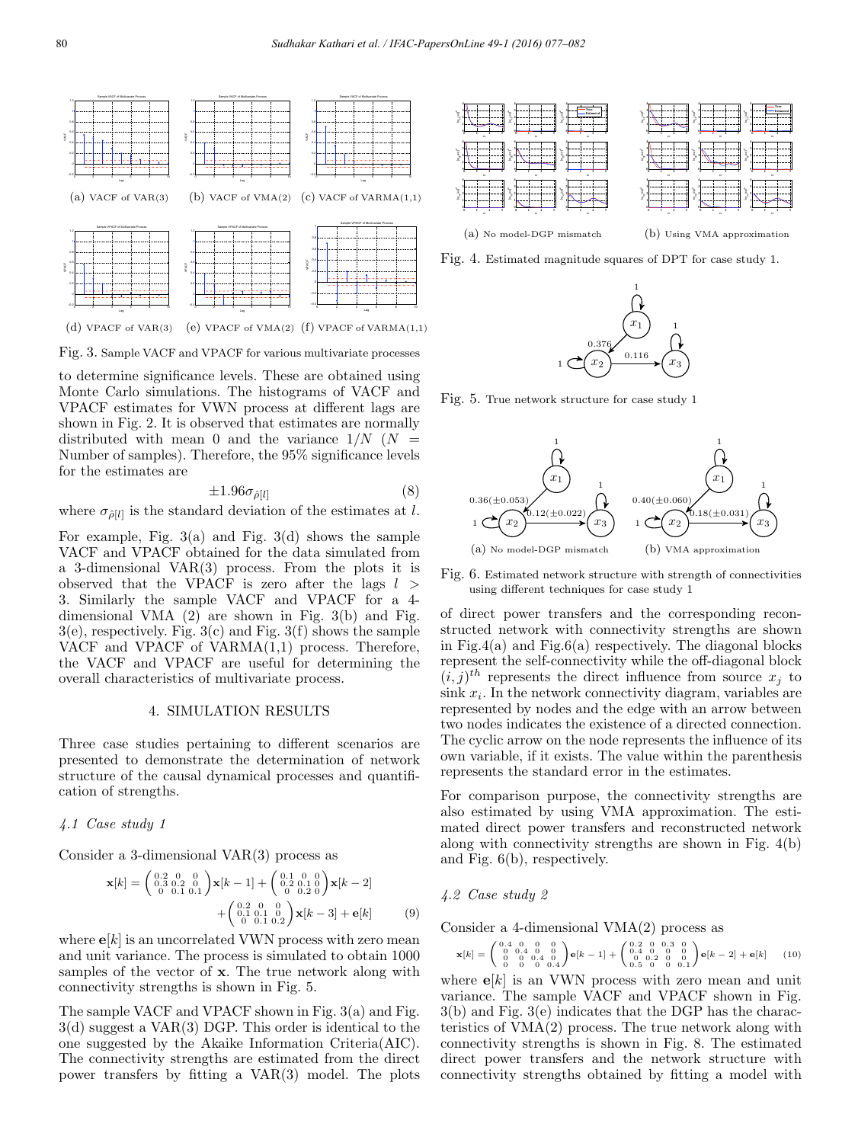

Fig. 3. Sample VACF and VPACF for various multivariate processes

to determine significance levels. These are obtained using Monte Carlo simulations. The histograms of VACF and VPACF estimates for VWN process at different lags are shown in Fig. 2. It is observed that estimates are normally distributed with mean 0 and the variance  $1/N$  ( $N =$ Number of samples). Therefore, the 95% significance levels for the estimates are

$$
\pm 1.96\sigma_{\hat{\rho}[l]} \tag{8}
$$

where  $\sigma_{\hat{\rho}[l]}$  is the standard deviation of the estimates at l.

For example, Fig.  $3(a)$  and Fig.  $3(d)$  shows the sample VACF and VPACF obtained for the data simulated from a 3-dimensional VAR(3) process. From the plots it is observed that the VPACF is zero after the lags  $l >$ 3. Similarly the sample VACF and VPACF for a 4 dimensional VMA (2) are shown in Fig. 3(b) and Fig.  $3(e)$ , respectively. Fig.  $3(c)$  and Fig.  $3(f)$  shows the sample VACF and VPACF of VARMA(1,1) process. Therefore, the VACF and VPACF are useful for determining the overall characteristics of multivariate process.

### 4. SIMULATION RESULTS

Three case studies pertaining to different scenarios are presented to demonstrate the determination of network structure of the causal dynamical processes and quantification of strengths.

### 4.1 Case study 1

Consider a 3-dimensional VAR(3) process as

$$
\mathbf{x}[k] = \begin{pmatrix} 0.2 & 0 & 0 \\ 0.3 & 0.2 & 0 \\ 0 & 0.1 & 0.1 \end{pmatrix} \mathbf{x}[k-1] + \begin{pmatrix} 0.1 & 0 & 0 \\ 0.2 & 0.1 & 0 \\ 0 & 0.2 & 0 \end{pmatrix} \mathbf{x}[k-2] + \begin{pmatrix} 0.2 & 0 & 0 \\ 0.1 & 0.1 & 0 \\ 0 & 0.1 & 0.2 \end{pmatrix} \mathbf{x}[k-3] + \mathbf{e}[k] \tag{9}
$$

where  $e[k]$  is an uncorrelated VWN process with zero mean and unit variance. The process is simulated to obtain 1000 samples of the vector of x. The true network along with connectivity strengths is shown in Fig. 5.

The sample VACF and VPACF shown in Fig. 3(a) and Fig. 3(d) suggest a VAR(3) DGP. This order is identical to the one suggested by the Akaike Information Criteria(AIC). The connectivity strengths are estimated from the direct power transfers by fitting a VAR(3) model. The plots



(b) Using VMA approximation





Fig. 5. True network structure for case study 1



Fig. 6. Estimated network structure with strength of connectivities using different techniques for case study 1

of direct power transfers and the corresponding reconstructed network with connectivity strengths are shown in Fig.4(a) and Fig.6(a) respectively. The diagonal blocks represent the self-connectivity while the off-diagonal block  $(i, j)$ <sup>th</sup> represents the direct influence from source  $x_i$  to  $\sin k x_i$ . In the network connectivity diagram, variables are represented by nodes and the edge with an arrow between two nodes indicates the existence of a directed connection. The cyclic arrow on the node represents the influence of its own variable, if it exists. The value within the parenthesis represents the standard error in the estimates.

For comparison purpose, the connectivity strengths are also estimated by using VMA approximation. The estimated direct power transfers and reconstructed network along with connectivity strengths are shown in Fig. 4(b) and Fig. 6(b), respectively.

### 4.2 Case study 2

Consider a 4-dimensional VMA(2) process as

$$
\mathbf{x}[k] = \begin{pmatrix} 0.4 & 0 & 0 & 0 \\ 0 & 0.4 & 0 & 0 \\ 0 & 0 & 0.4 & 0 \\ 0 & 0 & 0 & 0.4 \end{pmatrix} \mathbf{e}[k-1] + \begin{pmatrix} 0.2 & 0 & 0.3 & 0 \\ 0.4 & 0 & 0 & 0 \\ 0 & 0.2 & 0 & 0 \\ 0.5 & 0 & 0 & 0.1 \end{pmatrix} \mathbf{e}[k-2] + \mathbf{e}[k] \tag{10}
$$

where  $e[k]$  is an VWN process with zero mean and unit variance. The sample VACF and VPACF shown in Fig. 3(b) and Fig. 3(e) indicates that the DGP has the characteristics of VMA(2) process. The true network along with connectivity strengths is shown in Fig. 8. The estimated direct power transfers and the network structure with connectivity strengths obtained by fitting a model with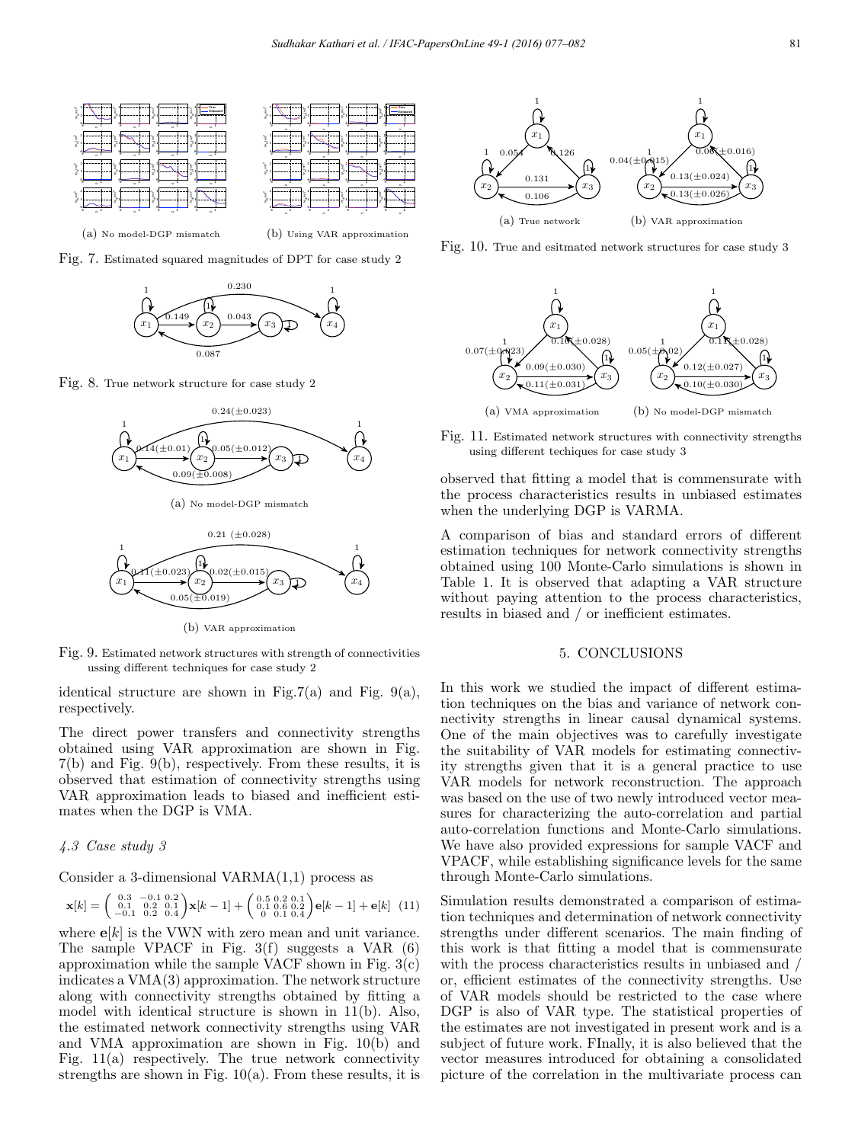



(a) No model-DGP mismatch

(b) Using VAR approximation





Fig. 8. True network structure for case study 2



(a) No model-DGP mismatch



(b) VAR approximation

Fig. 9. Estimated network structures with strength of connectivities ussing different techniques for case study 2

identical structure are shown in Fig.7(a) and Fig.  $9(a)$ , respectively.

The direct power transfers and connectivity strengths obtained using VAR approximation are shown in Fig. 7(b) and Fig. 9(b), respectively. From these results, it is observed that estimation of connectivity strengths using VAR approximation leads to biased and inefficient estimates when the DGP is VMA.

### 4.3 Case study 3

Consider a 3-dimensional  $VARMA(1,1)$  process as

$$
\mathbf{x}[k] = \begin{pmatrix} 0.3 & -0.1 & 0.2 \\ 0.1 & 0.2 & 0.1 \\ -0.1 & 0.2 & 0.4 \end{pmatrix} \mathbf{x}[k-1] + \begin{pmatrix} 0.5 & 0.2 & 0.1 \\ 0.1 & 0.6 & 0.2 \\ 0 & 0.1 & 0.4 \end{pmatrix} \mathbf{e}[k-1] + \mathbf{e}[k] \tag{11}
$$

where  $e[k]$  is the VWN with zero mean and unit variance. The sample VPACF in Fig. 3(f) suggests a VAR (6) approximation while the sample VACF shown in Fig.  $3(c)$ indicates a VMA(3) approximation. The network structure along with connectivity strengths obtained by fitting a model with identical structure is shown in 11(b). Also, the estimated network connectivity strengths using VAR and VMA approximation are shown in Fig. 10(b) and Fig. 11(a) respectively. The true network connectivity strengths are shown in Fig.  $10(a)$ . From these results, it is



Fig. 10. True and esitmated network structures for case study 3



Fig. 11. Estimated network structures with connectivity strengths using different techiques for case study 3

observed that fitting a model that is commensurate with the process characteristics results in unbiased estimates when the underlying DGP is VARMA.

A comparison of bias and standard errors of different estimation techniques for network connectivity strengths obtained using 100 Monte-Carlo simulations is shown in Table 1. It is observed that adapting a VAR structure without paying attention to the process characteristics, results in biased and / or inefficient estimates.

### 5. CONCLUSIONS

In this work we studied the impact of different estimation techniques on the bias and variance of network connectivity strengths in linear causal dynamical systems. One of the main objectives was to carefully investigate the suitability of VAR models for estimating connectivity strengths given that it is a general practice to use VAR models for network reconstruction. The approach was based on the use of two newly introduced vector measures for characterizing the auto-correlation and partial auto-correlation functions and Monte-Carlo simulations. We have also provided expressions for sample VACF and VPACF, while establishing significance levels for the same through Monte-Carlo simulations.

Simulation results demonstrated a comparison of estimation techniques and determination of network connectivity strengths under different scenarios. The main finding of this work is that fitting a model that is commensurate with the process characteristics results in unbiased and / or, efficient estimates of the connectivity strengths. Use of VAR models should be restricted to the case where DGP is also of VAR type. The statistical properties of the estimates are not investigated in present work and is a subject of future work. FInally, it is also believed that the vector measures introduced for obtaining a consolidated picture of the correlation in the multivariate process can